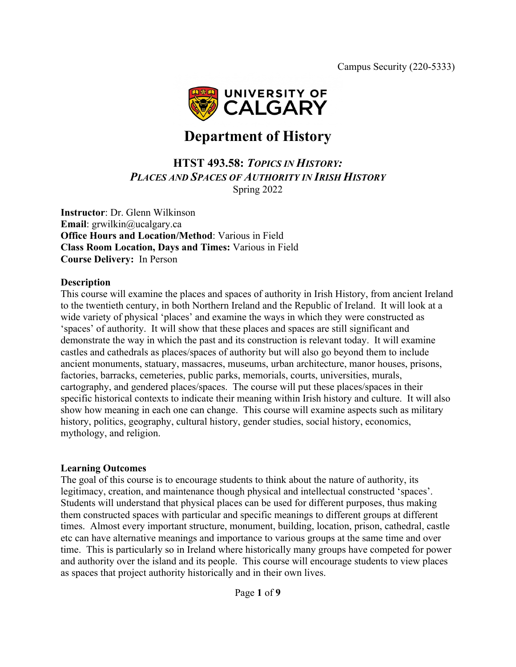

# **Department of History**

### **HTST 493.58:** *TOPICS IN HISTORY: PLACES AND SPACES OF AUTHORITY IN IRISH HISTORY* Spring 2022

**Instructor**: Dr. Glenn Wilkinson **Email**: grwilkin@ucalgary.ca **Office Hours and Location/Method**: Various in Field **Class Room Location, Days and Times:** Various in Field **Course Delivery:** In Person

#### **Description**

This course will examine the places and spaces of authority in Irish History, from ancient Ireland to the twentieth century, in both Northern Ireland and the Republic of Ireland. It will look at a wide variety of physical 'places' and examine the ways in which they were constructed as 'spaces' of authority. It will show that these places and spaces are still significant and demonstrate the way in which the past and its construction is relevant today. It will examine castles and cathedrals as places/spaces of authority but will also go beyond them to include ancient monuments, statuary, massacres, museums, urban architecture, manor houses, prisons, factories, barracks, cemeteries, public parks, memorials, courts, universities, murals, cartography, and gendered places/spaces. The course will put these places/spaces in their specific historical contexts to indicate their meaning within Irish history and culture. It will also show how meaning in each one can change. This course will examine aspects such as military history, politics, geography, cultural history, gender studies, social history, economics, mythology, and religion.

#### **Learning Outcomes**

The goal of this course is to encourage students to think about the nature of authority, its legitimacy, creation, and maintenance though physical and intellectual constructed 'spaces'. Students will understand that physical places can be used for different purposes, thus making them constructed spaces with particular and specific meanings to different groups at different times. Almost every important structure, monument, building, location, prison, cathedral, castle etc can have alternative meanings and importance to various groups at the same time and over time. This is particularly so in Ireland where historically many groups have competed for power and authority over the island and its people. This course will encourage students to view places as spaces that project authority historically and in their own lives.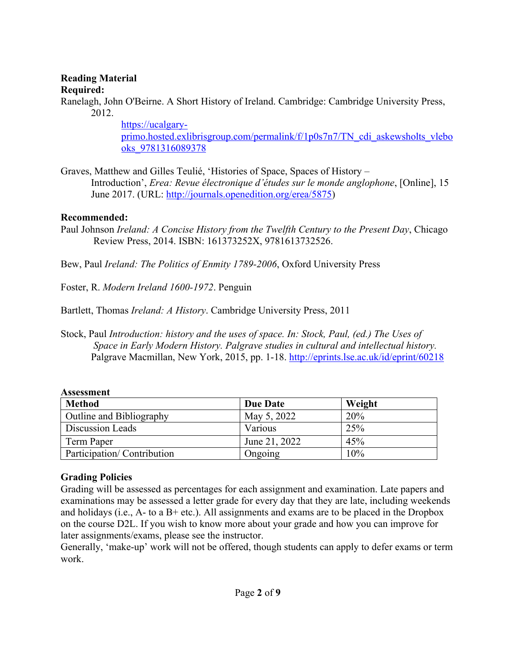#### **Reading Material Required:**

Ranelagh, John O'Beirne. A Short History of Ireland. Cambridge: Cambridge University Press, 2012.

> https://ucalgaryprimo.hosted.exlibrisgroup.com/permalink/f/1p0s7n7/TN\_cdi\_askewsholts\_vlebo oks\_9781316089378

Graves, Matthew and Gilles Teulié, 'Histories of Space, Spaces of History –

Introduction', *Erea: Revue électronique d'études sur le monde anglophone*, [Online], 15 June 2017. (URL: http://journals.openedition.org/erea/5875)

### **Recommended:**

Paul Johnson *Ireland: A Concise History from the Twelfth Century to the Present Day*, Chicago Review Press, 2014. ISBN: 161373252X, 9781613732526.

Bew, Paul *Ireland: The Politics of Enmity 1789-2006*, Oxford University Press

Foster, R. *Modern Ireland 1600-1972*. Penguin

Bartlett, Thomas *Ireland: A History*. Cambridge University Press, 2011

Stock, Paul *Introduction: history and the uses of space. In: Stock, Paul, (ed.) The Uses of Space in Early Modern History. Palgrave studies in cultural and intellectual history.*  Palgrave Macmillan, New York, 2015, pp. 1-18. http://eprints.lse.ac.uk/id/eprint/60218

| ASSESSMICHT                     |                 |        |  |  |
|---------------------------------|-----------------|--------|--|--|
| <b>Method</b>                   | <b>Due Date</b> | Weight |  |  |
| <b>Outline and Bibliography</b> | May 5, 2022     | 20%    |  |  |
| Discussion Leads                | Various         | 25%    |  |  |
| Term Paper                      | June 21, 2022   | 45%    |  |  |
| Participation/Contribution      | Ongoing         | 10%    |  |  |

# **Grading Policies**

**Assessment**

Grading will be assessed as percentages for each assignment and examination. Late papers and examinations may be assessed a letter grade for every day that they are late, including weekends and holidays (i.e., A- to a  $B$ + etc.). All assignments and exams are to be placed in the Dropbox on the course D2L. If you wish to know more about your grade and how you can improve for later assignments/exams, please see the instructor.

Generally, 'make-up' work will not be offered, though students can apply to defer exams or term work.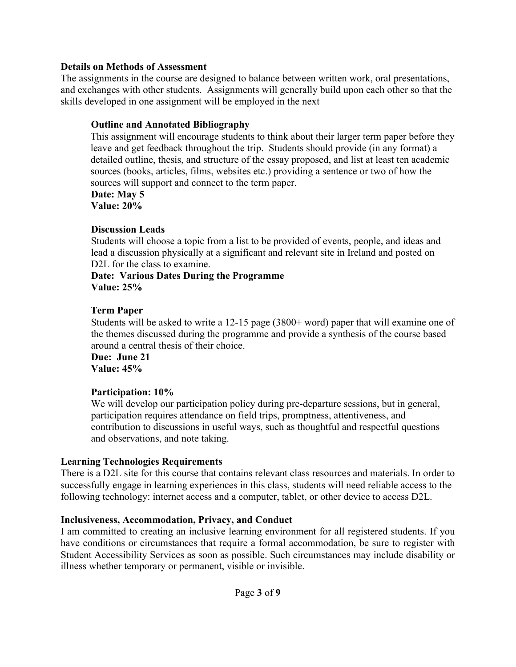#### **Details on Methods of Assessment**

The assignments in the course are designed to balance between written work, oral presentations, and exchanges with other students. Assignments will generally build upon each other so that the skills developed in one assignment will be employed in the next

### **Outline and Annotated Bibliography**

This assignment will encourage students to think about their larger term paper before they leave and get feedback throughout the trip. Students should provide (in any format) a detailed outline, thesis, and structure of the essay proposed, and list at least ten academic sources (books, articles, films, websites etc.) providing a sentence or two of how the sources will support and connect to the term paper.

**Date: May 5 Value: 20%**

### **Discussion Leads**

Students will choose a topic from a list to be provided of events, people, and ideas and lead a discussion physically at a significant and relevant site in Ireland and posted on D2L for the class to examine.

**Date: Various Dates During the Programme Value: 25%**

### **Term Paper**

Students will be asked to write a 12-15 page (3800+ word) paper that will examine one of the themes discussed during the programme and provide a synthesis of the course based around a central thesis of their choice.

**Due: June 21 Value: 45%**

# **Participation: 10%**

We will develop our participation policy during pre-departure sessions, but in general, participation requires attendance on field trips, promptness, attentiveness, and contribution to discussions in useful ways, such as thoughtful and respectful questions and observations, and note taking.

# **Learning Technologies Requirements**

There is a D2L site for this course that contains relevant class resources and materials. In order to successfully engage in learning experiences in this class, students will need reliable access to the following technology: internet access and a computer, tablet, or other device to access D2L.

# **Inclusiveness, Accommodation, Privacy, and Conduct**

I am committed to creating an inclusive learning environment for all registered students. If you have conditions or circumstances that require a formal accommodation, be sure to register with Student Accessibility Services as soon as possible. Such circumstances may include disability or illness whether temporary or permanent, visible or invisible.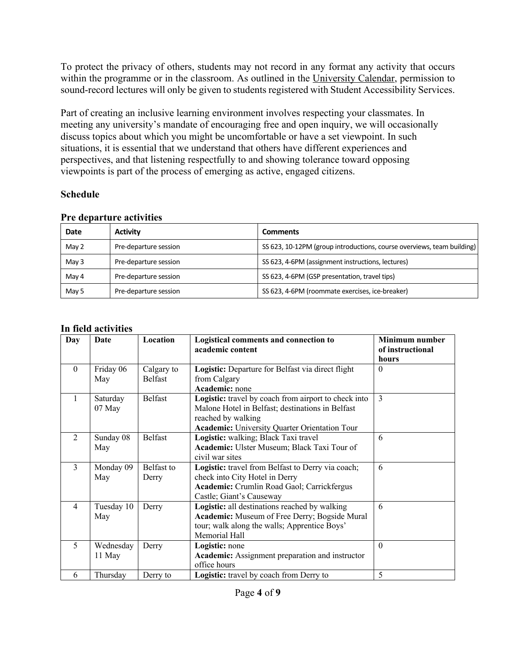To protect the privacy of others, students may not record in any format any activity that occurs within the programme or in the classroom. As outlined in the University Calendar, permission to sound-record lectures will only be given to students registered with Student Accessibility Services.

Part of creating an inclusive learning environment involves respecting your classmates. In meeting any university's mandate of encouraging free and open inquiry, we will occasionally discuss topics about which you might be uncomfortable or have a set viewpoint. In such situations, it is essential that we understand that others have different experiences and perspectives, and that listening respectfully to and showing tolerance toward opposing viewpoints is part of the process of emerging as active, engaged citizens.

#### **Schedule**

|         | 1 I v uvbul tul v uvu muvs |                                                                        |  |
|---------|----------------------------|------------------------------------------------------------------------|--|
| Date    | <b>Activity</b>            | <b>Comments</b>                                                        |  |
| May 2   | Pre-departure session      | SS 623, 10-12PM (group introductions, course overviews, team building) |  |
| May $3$ | Pre-departure session      | SS 623, 4-6PM (assignment instructions, lectures)                      |  |
| May 4   | Pre-departure session      | SS 623, 4-6PM (GSP presentation, travel tips)                          |  |
| May 5   | Pre-departure session      | SS 623, 4-6PM (roommate exercises, ice-breaker)                        |  |

#### **Pre departure activities**

#### **In field activities**

| Day            | Date                | Location              | Logistical comments and connection to<br>academic content                                                                                                                              | Minimum number<br>of instructional<br>hours |
|----------------|---------------------|-----------------------|----------------------------------------------------------------------------------------------------------------------------------------------------------------------------------------|---------------------------------------------|
| $\Omega$       | Friday 06<br>May    | Calgary to<br>Belfast | Logistic: Departure for Belfast via direct flight<br>from Calgary<br>Academic: none                                                                                                    | $\theta$                                    |
| 1              | Saturday<br>07 May  | <b>Belfast</b>        | Logistic: travel by coach from airport to check into<br>Malone Hotel in Belfast; destinations in Belfast<br>reached by walking<br><b>Academic:</b> University Quarter Orientation Tour | $\mathcal{E}$                               |
| 2              | Sunday 08<br>May    | Belfast               | Logistic: walking; Black Taxi travel<br>Academic: Ulster Museum; Black Taxi Tour of<br>civil war sites                                                                                 | 6                                           |
| $\mathcal{F}$  | Monday 09<br>May    | Belfast to<br>Derry   | Logistic: travel from Belfast to Derry via coach;<br>check into City Hotel in Derry<br>Academic: Crumlin Road Gaol; Carrickfergus<br>Castle; Giant's Causeway                          | 6                                           |
| $\overline{4}$ | Tuesday 10<br>May   | Derry                 | Logistic: all destinations reached by walking<br>Academic: Museum of Free Derry; Bogside Mural<br>tour; walk along the walls; Apprentice Boys'<br>Memorial Hall                        | 6                                           |
| 5              | Wednesday<br>11 May | Derry                 | Logistic: none<br><b>Academic:</b> Assignment preparation and instructor<br>office hours                                                                                               | $\Omega$                                    |
| 6              | Thursday            | Derry to              | Logistic: travel by coach from Derry to                                                                                                                                                | 5                                           |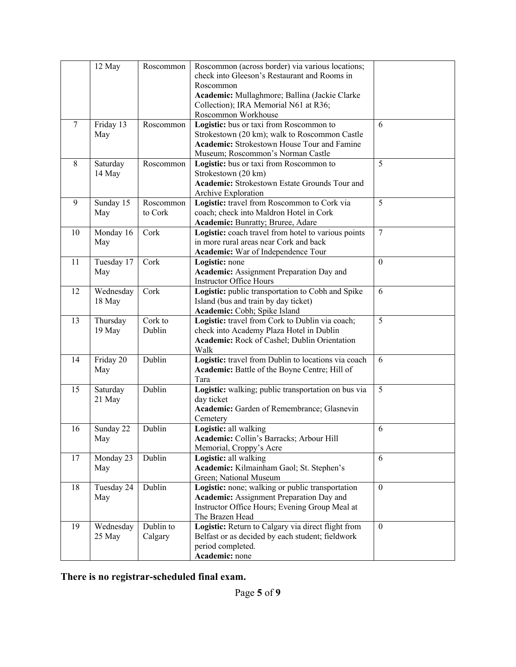|                 | 12 May     | Roscommon | Roscommon (across border) via various locations;                           |                  |
|-----------------|------------|-----------|----------------------------------------------------------------------------|------------------|
|                 |            |           | check into Gleeson's Restaurant and Rooms in                               |                  |
|                 |            |           | Roscommon                                                                  |                  |
|                 |            |           | Academic: Mullaghmore; Ballina (Jackie Clarke                              |                  |
|                 |            |           | Collection); IRA Memorial N61 at R36;                                      |                  |
|                 |            |           | Roscommon Workhouse                                                        |                  |
| $7\overline{ }$ | Friday 13  | Roscommon | Logistic: bus or taxi from Roscommon to                                    | 6                |
|                 | May        |           | Strokestown (20 km); walk to Roscommon Castle                              |                  |
|                 |            |           | Academic: Strokestown House Tour and Famine                                |                  |
|                 |            |           | Museum; Roscommon's Norman Castle                                          |                  |
| 8               | Saturday   | Roscommon | Logistic: bus or taxi from Roscommon to                                    | 5                |
|                 | 14 May     |           | Strokestown (20 km)                                                        |                  |
|                 |            |           | Academic: Strokestown Estate Grounds Tour and                              |                  |
|                 |            |           | Archive Exploration                                                        |                  |
| 9               | Sunday 15  | Roscommon | Logistic: travel from Roscommon to Cork via                                | 5                |
|                 | May        | to Cork   | coach; check into Maldron Hotel in Cork                                    |                  |
|                 |            |           | Academic: Bunratty; Bruree, Adare                                          |                  |
| 10              | Monday 16  | Cork      | Logistic: coach travel from hotel to various points                        | $\tau$           |
|                 | May        |           | in more rural areas near Cork and back                                     |                  |
|                 |            |           | Academic: War of Independence Tour                                         |                  |
| 11              | Tuesday 17 | Cork      | Logistic: none                                                             | $\mathbf{0}$     |
|                 | May        |           | Academic: Assignment Preparation Day and<br><b>Instructor Office Hours</b> |                  |
| 12              | Wednesday  | Cork      | Logistic: public transportation to Cobh and Spike                          | 6                |
|                 | 18 May     |           | Island (bus and train by day ticket)                                       |                  |
|                 |            |           | Academic: Cobh; Spike Island                                               |                  |
| 13              | Thursday   | Cork to   | Logistic: travel from Cork to Dublin via coach;                            | 5                |
|                 | 19 May     | Dublin    | check into Academy Plaza Hotel in Dublin                                   |                  |
|                 |            |           | Academic: Rock of Cashel; Dublin Orientation                               |                  |
|                 |            |           | Walk                                                                       |                  |
| 14              | Friday 20  | Dublin    | Logistic: travel from Dublin to locations via coach                        | 6                |
|                 | May        |           | Academic: Battle of the Boyne Centre; Hill of                              |                  |
|                 |            |           | Tara                                                                       |                  |
| 15              | Saturday   | Dublin    | Logistic: walking; public transportation on bus via                        | 5                |
|                 | 21 May     |           | day ticket                                                                 |                  |
|                 |            |           | Academic: Garden of Remembrance; Glasnevin                                 |                  |
|                 |            |           | Cemetery                                                                   |                  |
| 16              | Sunday 22  | Dublin    | Logistic: all walking                                                      | 6                |
|                 | May        |           | Academic: Collin's Barracks; Arbour Hill                                   |                  |
|                 |            |           | Memorial, Croppy's Acre                                                    |                  |
| 17              | Monday 23  | Dublin    | Logistic: all walking                                                      | 6                |
|                 | May        |           | Academic: Kilmainham Gaol; St. Stephen's                                   |                  |
|                 |            |           | Green; National Museum                                                     |                  |
| 18              | Tuesday 24 | Dublin    | Logistic: none; walking or public transportation                           | $\boldsymbol{0}$ |
|                 | May        |           | Academic: Assignment Preparation Day and                                   |                  |
|                 |            |           | Instructor Office Hours; Evening Group Meal at                             |                  |
|                 |            |           | The Brazen Head                                                            |                  |
| 19              | Wednesday  | Dublin to | Logistic: Return to Calgary via direct flight from                         | $\mathbf{0}$     |
|                 | 25 May     | Calgary   | Belfast or as decided by each student; fieldwork                           |                  |
|                 |            |           | period completed.<br>Academic: none                                        |                  |
|                 |            |           |                                                                            |                  |

**There is no registrar-scheduled final exam.**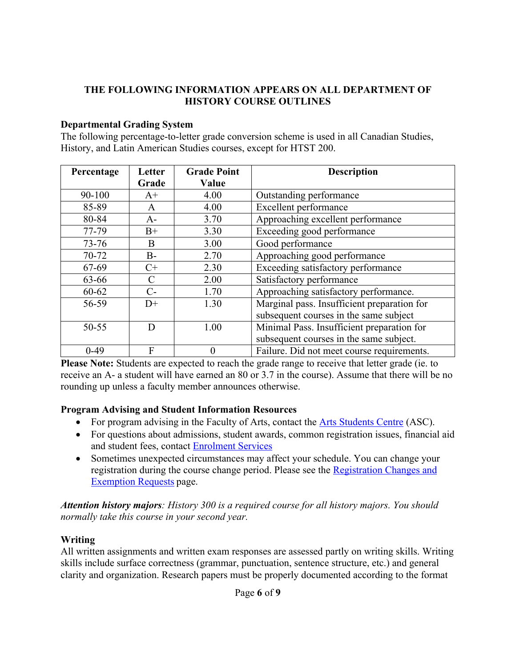#### **THE FOLLOWING INFORMATION APPEARS ON ALL DEPARTMENT OF HISTORY COURSE OUTLINES**

#### **Departmental Grading System**

The following percentage-to-letter grade conversion scheme is used in all Canadian Studies, History, and Latin American Studies courses, except for HTST 200.

| Percentage | Letter        | <b>Grade Point</b> | <b>Description</b>                          |
|------------|---------------|--------------------|---------------------------------------------|
|            | Grade         | Value              |                                             |
| 90-100     | $A+$          | 4.00               | Outstanding performance                     |
| 85-89      | A             | 4.00               | Excellent performance                       |
| 80-84      | $A-$          | 3.70               | Approaching excellent performance           |
| 77-79      | $B+$          | 3.30               | Exceeding good performance                  |
| $73 - 76$  | B             | 3.00               | Good performance                            |
| 70-72      | $B-$          | 2.70               | Approaching good performance                |
| 67-69      | $C+$          | 2.30               | Exceeding satisfactory performance          |
| 63-66      | $\mathcal{C}$ | 2.00               | Satisfactory performance                    |
| $60 - 62$  | $C$ -         | 1.70               | Approaching satisfactory performance.       |
| 56-59      | $D+$          | 1.30               | Marginal pass. Insufficient preparation for |
|            |               |                    | subsequent courses in the same subject      |
| 50-55      | D             | 1.00               | Minimal Pass. Insufficient preparation for  |
|            |               |                    | subsequent courses in the same subject.     |
| $0-49$     | F             | $\Omega$           | Failure. Did not meet course requirements.  |

**Please Note:** Students are expected to reach the grade range to receive that letter grade (ie. to receive an A- a student will have earned an 80 or 3.7 in the course). Assume that there will be no rounding up unless a faculty member announces otherwise.

#### **Program Advising and Student Information Resources**

- For program advising in the Faculty of Arts, contact the Arts Students Centre (ASC).
- For questions about admissions, student awards, common registration issues, financial aid and student fees, contact Enrolment Services
- Sometimes unexpected circumstances may affect your schedule. You can change your registration during the course change period. Please see the Registration Changes and Exemption Requests page.

*Attention history majors: History 300 is a required course for all history majors. You should normally take this course in your second year.*

# **Writing**

All written assignments and written exam responses are assessed partly on writing skills. Writing skills include surface correctness (grammar, punctuation, sentence structure, etc.) and general clarity and organization. Research papers must be properly documented according to the format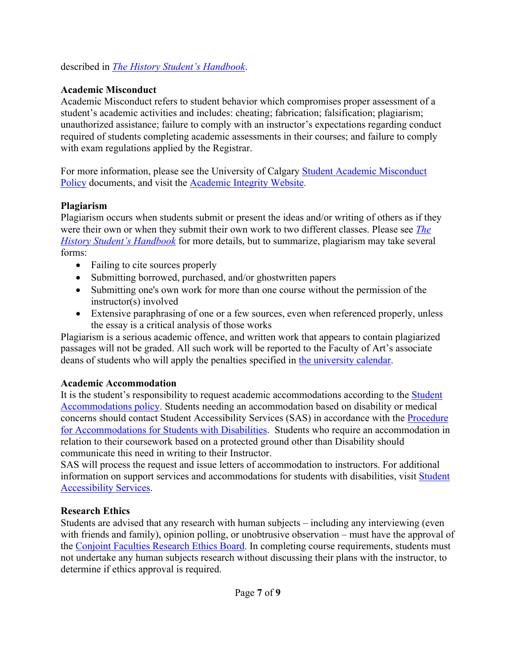described in *The History Student's Handbook*.

# **Academic Misconduct**

Academic Misconduct refers to student behavior which compromises proper assessment of a student's academic activities and includes: cheating; fabrication; falsification; plagiarism; unauthorized assistance; failure to comply with an instructor's expectations regarding conduct required of students completing academic assessments in their courses; and failure to comply with exam regulations applied by the Registrar.

For more information, please see the University of Calgary Student Academic Misconduct Policy documents, and visit the Academic Integrity Website.

# **Plagiarism**

Plagiarism occurs when students submit or present the ideas and/or writing of others as if they were their own or when they submit their own work to two different classes. Please see *The History Student's Handbook* for more details, but to summarize, plagiarism may take several forms:

- Failing to cite sources properly
- Submitting borrowed, purchased, and/or ghostwritten papers
- Submitting one's own work for more than one course without the permission of the instructor(s) involved
- Extensive paraphrasing of one or a few sources, even when referenced properly, unless the essay is a critical analysis of those works

Plagiarism is a serious academic offence, and written work that appears to contain plagiarized passages will not be graded. All such work will be reported to the Faculty of Art's associate deans of students who will apply the penalties specified in the university calendar.

# **Academic Accommodation**

It is the student's responsibility to request academic accommodations according to the Student Accommodations policy. Students needing an accommodation based on disability or medical concerns should contact Student Accessibility Services (SAS) in accordance with the Procedure for Accommodations for Students with Disabilities. Students who require an accommodation in relation to their coursework based on a protected ground other than Disability should communicate this need in writing to their Instructor.

SAS will process the request and issue letters of accommodation to instructors. For additional information on support services and accommodations for students with disabilities, visit Student Accessibility Services.

# **Research Ethics**

Students are advised that any research with human subjects – including any interviewing (even with friends and family), opinion polling, or unobtrusive observation – must have the approval of the Conjoint Faculties Research Ethics Board. In completing course requirements, students must not undertake any human subjects research without discussing their plans with the instructor, to determine if ethics approval is required.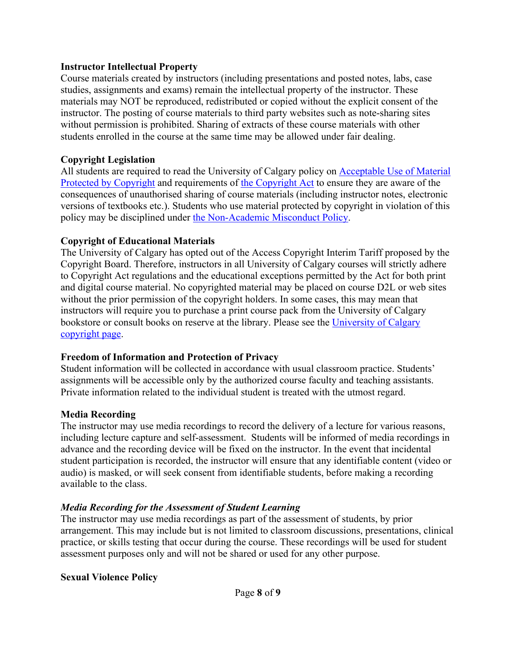#### **Instructor Intellectual Property**

Course materials created by instructors (including presentations and posted notes, labs, case studies, assignments and exams) remain the intellectual property of the instructor. These materials may NOT be reproduced, redistributed or copied without the explicit consent of the instructor. The posting of course materials to third party websites such as note-sharing sites without permission is prohibited. Sharing of extracts of these course materials with other students enrolled in the course at the same time may be allowed under fair dealing.

### **Copyright Legislation**

All students are required to read the University of Calgary policy on Acceptable Use of Material Protected by Copyright and requirements of the Copyright Act to ensure they are aware of the consequences of unauthorised sharing of course materials (including instructor notes, electronic versions of textbooks etc.). Students who use material protected by copyright in violation of this policy may be disciplined under the Non-Academic Misconduct Policy.

# **Copyright of Educational Materials**

The University of Calgary has opted out of the Access Copyright Interim Tariff proposed by the Copyright Board. Therefore, instructors in all University of Calgary courses will strictly adhere to Copyright Act regulations and the educational exceptions permitted by the Act for both print and digital course material. No copyrighted material may be placed on course D2L or web sites without the prior permission of the copyright holders. In some cases, this may mean that instructors will require you to purchase a print course pack from the University of Calgary bookstore or consult books on reserve at the library. Please see the University of Calgary copyright page.

# **Freedom of Information and Protection of Privacy**

Student information will be collected in accordance with usual classroom practice. Students' assignments will be accessible only by the authorized course faculty and teaching assistants. Private information related to the individual student is treated with the utmost regard.

# **Media Recording**

The instructor may use media recordings to record the delivery of a lecture for various reasons, including lecture capture and self-assessment. Students will be informed of media recordings in advance and the recording device will be fixed on the instructor. In the event that incidental student participation is recorded, the instructor will ensure that any identifiable content (video or audio) is masked, or will seek consent from identifiable students, before making a recording available to the class.

# *Media Recording for the Assessment of Student Learning*

The instructor may use media recordings as part of the assessment of students, by prior arrangement. This may include but is not limited to classroom discussions, presentations, clinical practice, or skills testing that occur during the course. These recordings will be used for student assessment purposes only and will not be shared or used for any other purpose.

# **Sexual Violence Policy**